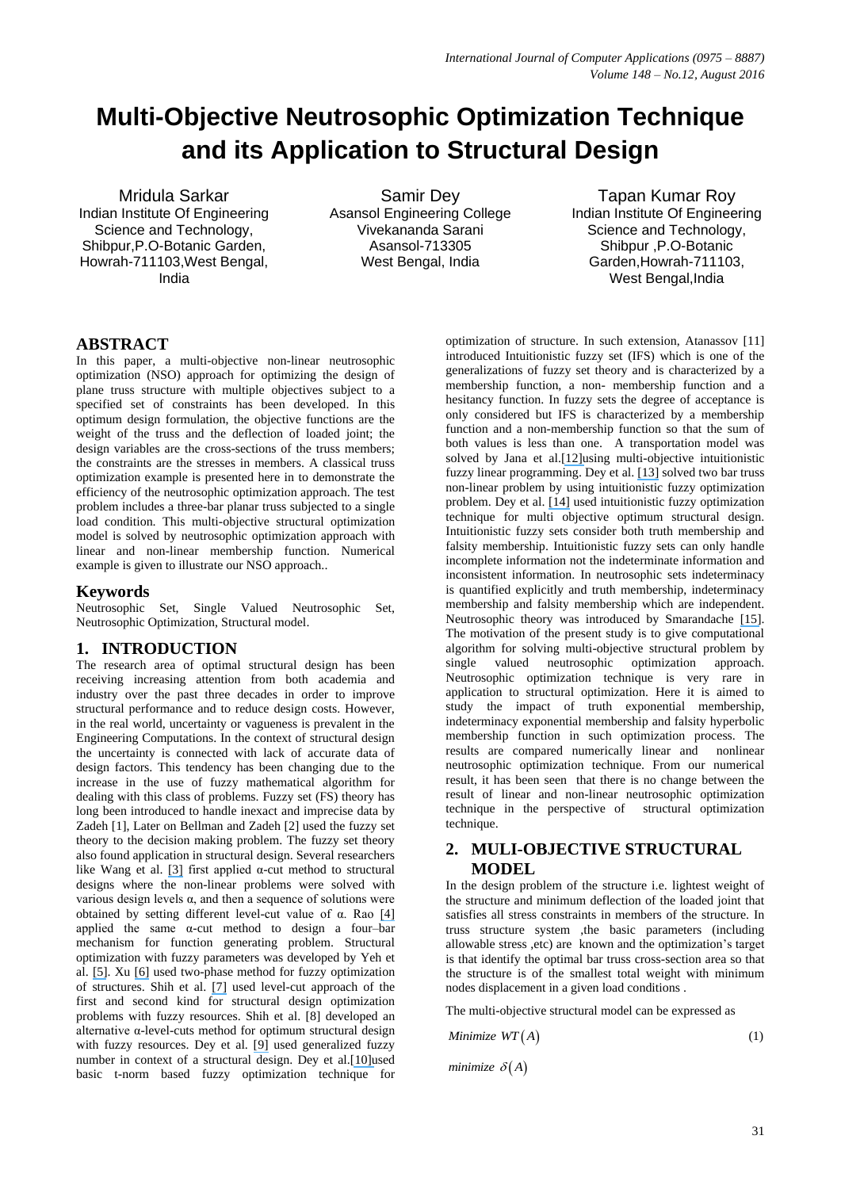# **Multi-Objective Neutrosophic Optimization Technique and its Application to Structural Design**

Mridula Sarkar Indian Institute Of Engineering Science and Technology, Shibpur,P.O-Botanic Garden, Howrah-711103,West Bengal, India

Samir Dey Asansol Engineering College Vivekananda Sarani Asansol-713305 West Bengal, India

Tapan Kumar Roy Indian Institute Of Engineering Science and Technology, Shibpur ,P.O-Botanic Garden,Howrah-711103, West Bengal, India

# **ABSTRACT**

In this paper, a multi-objective non-linear neutrosophic optimization (NSO) approach for optimizing the design of plane truss structure with multiple objectives subject to a specified set of constraints has been developed. In this optimum design formulation, the objective functions are the weight of the truss and the deflection of loaded joint; the design variables are the cross-sections of the truss members; the constraints are the stresses in members. A classical truss optimization example is presented here in to demonstrate the efficiency of the neutrosophic optimization approach. The test problem includes a three-bar planar truss subjected to a single load condition. This multi-objective structural optimization model is solved by neutrosophic optimization approach with linear and non-linear membership function. Numerical example is given to illustrate our NSO approach..

## **Keywords**

Neutrosophic Set, Single Valued Neutrosophic Set, Neutrosophic Optimization, Structural model.

# **1. INTRODUCTION**

The research area of optimal structural design has been receiving increasing attention from both academia and industry over the past three decades in order to improve structural performance and to reduce design costs. However, in the real world, uncertainty or vagueness is prevalent in the Engineering Computations. In the context of structural design the uncertainty is connected with lack of accurate data of design factors. This tendency has been changing due to the increase in the use of fuzzy mathematical algorithm for dealing with this class of problems. Fuzzy set (FS) theory has long been introduced to handle inexact and imprecise data by Zadeh [1], Later on Bellman and Zadeh [2] used the fuzzy set theory to the decision making problem. The fuzzy set theory also found application in structural design. Several researchers like Wang et al. [\[3\]](https://www.researchgate.net/publication/245310442_Fuzzy_optimum_design_of_structures?el=1_x_8&enrichId=rgreq-565a7628ffc0f0859f95200e7a2f3b1e-XXX&enrichSource=Y292ZXJQYWdlOzMwNjEyNTY3MjtBUzozOTY0Mjk3OTAwNzI4MzRAMTQ3MTUyNzYzNTkwMw==) first applied α-cut method to structural designs where the non-linear problems were solved with various design levels α, and then a sequence of solutions were obtained by setting different level-cut value of α. Rao [\[4\]](https://www.researchgate.net/publication/245514440_Description_and_Optimum_Design_of_Fuzzy_Mechanical_Systems?el=1_x_8&enrichId=rgreq-565a7628ffc0f0859f95200e7a2f3b1e-XXX&enrichSource=Y292ZXJQYWdlOzMwNjEyNTY3MjtBUzozOTY0Mjk3OTAwNzI4MzRAMTQ3MTUyNzYzNTkwMw==)  applied the same  $\alpha$ -cut method to design a four-bar mechanism for function generating problem. Structural optimization with fuzzy parameters was developed by Yeh et al. [\[5\]](https://www.researchgate.net/publication/279100592_STRUCTURAL_OPTIMIZATION_WITH_FUZZY_PARAMETERS?el=1_x_8&enrichId=rgreq-565a7628ffc0f0859f95200e7a2f3b1e-XXX&enrichSource=Y292ZXJQYWdlOzMwNjEyNTY3MjtBUzozOTY0Mjk3OTAwNzI4MzRAMTQ3MTUyNzYzNTkwMw==). Xu [\[6\]](https://www.researchgate.net/publication/256380313_Fuzzy_optimization_of_structures_by_the_two-phase_method?el=1_x_8&enrichId=rgreq-565a7628ffc0f0859f95200e7a2f3b1e-XXX&enrichSource=Y292ZXJQYWdlOzMwNjEyNTY3MjtBUzozOTY0Mjk3OTAwNzI4MzRAMTQ3MTUyNzYzNTkwMw==) used two-phase method for fuzzy optimization of structures. Shih et al. [\[7\]](https://www.researchgate.net/publication/250697131_Alternative_a-level-cuts_methods_for_optimum_structural_design_with_fuzzy_resources?el=1_x_8&enrichId=rgreq-565a7628ffc0f0859f95200e7a2f3b1e-XXX&enrichSource=Y292ZXJQYWdlOzMwNjEyNTY3MjtBUzozOTY0Mjk3OTAwNzI4MzRAMTQ3MTUyNzYzNTkwMw==) used level-cut approach of the first and second kind for structural design optimization problems with fuzzy resources. Shih et al. [8] developed an alternative  $\alpha$ -level-cuts method for optimum structural design with fuzzy resources. Dey et al. [\[9\]](https://www.researchgate.net/publication/273310642_A_Fuzzy_Programming_Technique_for_Solving_Multi-objective_Structural_Problem?el=1_x_8&enrichId=rgreq-565a7628ffc0f0859f95200e7a2f3b1e-XXX&enrichSource=Y292ZXJQYWdlOzMwNjEyNTY3MjtBUzozOTY0Mjk3OTAwNzI4MzRAMTQ3MTUyNzYzNTkwMw==) used generalized fuzzy number in context of a structural design. Dey et al.[\[10\]u](https://www.researchgate.net/publication/293800363_Multi-objective_structural_design_problem_optimization_using_parameterized_t-norm_based_fuzzy_optimization_programming_technique?el=1_x_8&enrichId=rgreq-565a7628ffc0f0859f95200e7a2f3b1e-XXX&enrichSource=Y292ZXJQYWdlOzMwNjEyNTY3MjtBUzozOTY0Mjk3OTAwNzI4MzRAMTQ3MTUyNzYzNTkwMw==)sed basic t-norm based fuzzy optimization technique for optimization of structure. In such extension, Atanassov [11] introduced Intuitionistic fuzzy set (IFS) which is one of the generalizations of fuzzy set theory and is characterized by a membership function, a non- membership function and a hesitancy function. In fuzzy sets the degree of acceptance is only considered but IFS is characterized by a membership function and a non-membership function so that the sum of both values is less than one. A transportation model was solved by Jana et al.[\[12\]u](https://www.researchgate.net/publication/238771762_Multi-Objective_Fuzzy_Linear_Programming_and_Its_Application_in_Transportation_Model?el=1_x_8&enrichId=rgreq-565a7628ffc0f0859f95200e7a2f3b1e-XXX&enrichSource=Y292ZXJQYWdlOzMwNjEyNTY3MjtBUzozOTY0Mjk3OTAwNzI4MzRAMTQ3MTUyNzYzNTkwMw==)sing multi-objective intuitionistic fuzzy linear programming. Dey et al. [\[13\]](https://www.researchgate.net/publication/272854190_Optimized_Solution_of_Two_Bar_Truss_Design_Using_Intuitionistic_Fuzzy_Optimization_Technique?el=1_x_8&enrichId=rgreq-565a7628ffc0f0859f95200e7a2f3b1e-XXX&enrichSource=Y292ZXJQYWdlOzMwNjEyNTY3MjtBUzozOTY0Mjk3OTAwNzI4MzRAMTQ3MTUyNzYzNTkwMw==) solved two bar truss non-linear problem by using intuitionistic fuzzy optimization problem. Dey et al. [\[14\]](https://www.researchgate.net/publication/282464477_Multi-objective_Structural_Optimization_Using_Fuzzy_and_Intuitionistic_Fuzzy_Optimization_Technique?el=1_x_8&enrichId=rgreq-565a7628ffc0f0859f95200e7a2f3b1e-XXX&enrichSource=Y292ZXJQYWdlOzMwNjEyNTY3MjtBUzozOTY0Mjk3OTAwNzI4MzRAMTQ3MTUyNzYzNTkwMw==) used intuitionistic fuzzy optimization technique for multi objective optimum structural design. Intuitionistic fuzzy sets consider both truth membership and falsity membership. Intuitionistic fuzzy sets can only handle incomplete information not the indeterminate information and inconsistent information. In neutrosophic sets indeterminacy is quantified explicitly and truth membership, indeterminacy membership and falsity membership which are independent. Neutrosophic theory was introduced by Smarandache [\[15\]](https://www.researchgate.net/publication/305140002_Neutrosophic_Probability_Set_And_Logic_first_version?el=1_x_8&enrichId=rgreq-565a7628ffc0f0859f95200e7a2f3b1e-XXX&enrichSource=Y292ZXJQYWdlOzMwNjEyNTY3MjtBUzozOTY0Mjk3OTAwNzI4MzRAMTQ3MTUyNzYzNTkwMw==). The motivation of the present study is to give computational algorithm for solving multi-objective structural problem by single valued neutrosophic optimization approach. Neutrosophic optimization technique is very rare in application to structural optimization. Here it is aimed to study the impact of truth exponential membership, indeterminacy exponential membership and falsity hyperbolic membership function in such optimization process. The results are compared numerically linear and nonlinear neutrosophic optimization technique. From our numerical result, it has been seen that there is no change between the result of linear and non-linear neutrosophic optimization technique in the perspective of structural optimization technique.

# **2. MULI-OBJECTIVE STRUCTURAL MODEL**

In the design problem of the structure i.e. lightest weight of the structure and minimum deflection of the loaded joint that satisfies all stress constraints in members of the structure. In truss structure system ,the basic parameters (including allowable stress ,etc) are known and the optimization's target is that identify the optimal bar truss cross-section area so that the structure is of the smallest total weight with minimum nodes displacement in a given load conditions .

The multi-objective structural model can be expressed as

Minimize 
$$
WT(A)
$$
 (1)

*minimize*  $\delta(A)$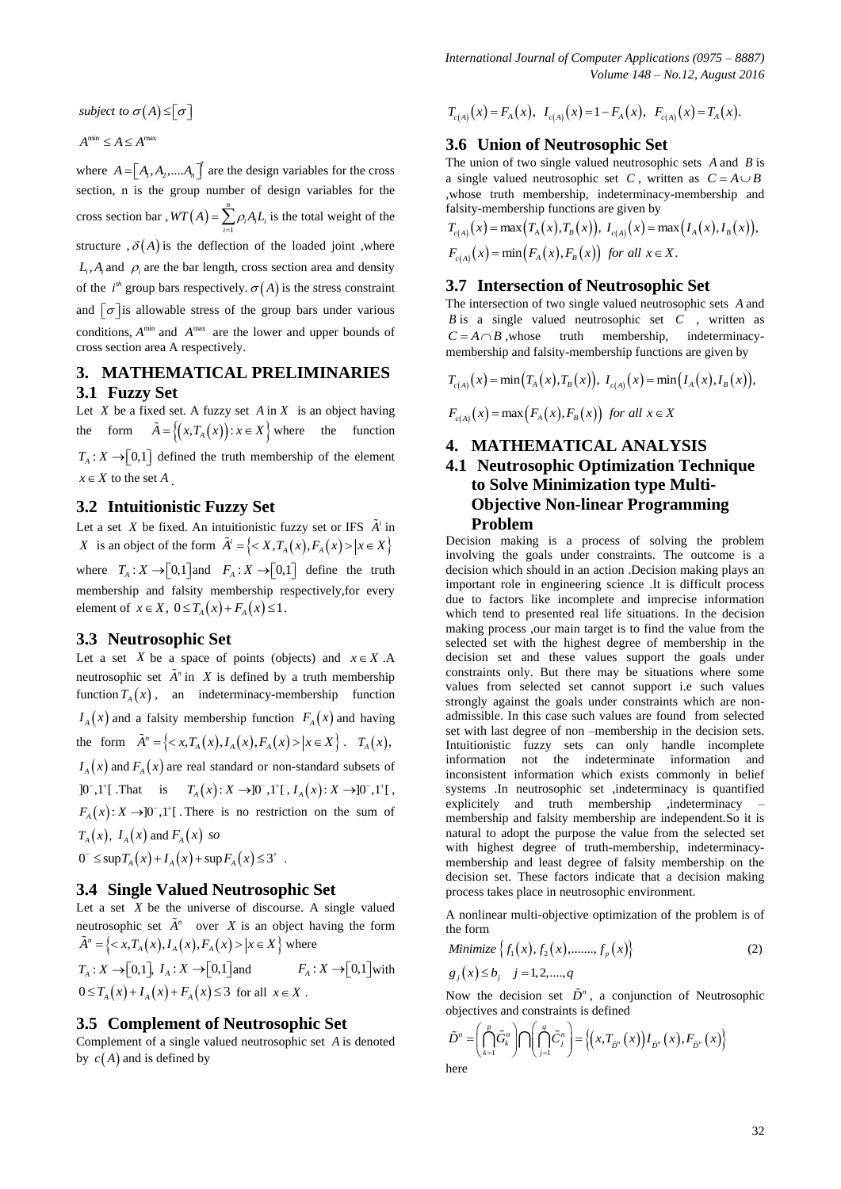$$
A^{\min} \le A \le A^{\max}
$$

where  $A = [A_1, A_2, \dots, A_n]$  are the design variables for the cross section, n is the group number of design variables for the cross section bar,  $WT(A) = \sum_{i=1}^{\infty}$ *n*  $WT(A) = \sum_{i=1}^{n} \rho_i A_i L_i$  is the total weight of the structure  $\mathfrak{h}(A)$  is the deflection of the loaded joint ,where  $L_i$ ,  $A_i$  and  $\rho_i$  are the bar length, cross section area and density of the  $i^h$  group bars respectively.  $\sigma(A)$  is the stress constraint and  $\sigma$  is allowable stress of the group bars under various conditions,  $A^{min}$  and  $A^{max}$  are the lower and upper bounds of cross section area A respectively.

# **3. MATHEMATICAL PRELIMINARIES 3.1 Fuzzy Set**

Let  $X$  be a fixed set. A fuzzy set  $A$  in  $X$  is an object having the form  $\tilde{A} = \{(x, T_A(x)) : x \in X\}$  where the function  $T_A: X \rightarrow [0,1]$  defined the truth membership of the element  $x \in X$  to the set A.

## **3.2 Intuitionistic Fuzzy Set**

Let a set *X* be fixed. An intuitionistic fuzzy set or IFS  $\tilde{A}^i$  in *X* is an object of the form  $\tilde{A}^i = \{ \langle X, T_A(x), F_A(x) \rangle | x \in X \}$ where  $T_A: X \to [0,1]$  and  $F_A: X \to [0,1]$  define the truth membership and falsity membership respectively,for every element of  $x \in X$ ,  $0 \leq T_A(x) + F_A(x) \leq 1$ .

## **3.3 Neutrosophic Set**

Let a set X be a space of points (objects) and  $x \in X$ .A neutrosophic set  $\tilde{A}^n$  in X is defined by a truth membership function  $T_A(x)$ , an indeterminacy-membership function  $I_A(x)$  and a falsity membership function  $F_A(x)$  and having the form  $\tilde{A}^n = \{ \langle x, T_A(x), I_A(x), F_A(x) \rangle | x \in X \}$ .  $T_A(x)$ ,  $I_A(x)$  and  $F_A(x)$  are real standard or non-standard subsets of  $]0^-,1^+[$ . That is  $T_A(x):X\to]0^-,1^+[$ ,  $I_A(x):X\to]0^-,1^+[$ ,  $F_A(x): X \to ]0^-, 1^+]$ . There is no restriction on the sum of  $T_A(x)$ ,  $I_A(x)$  and  $F_A(x)$  *so* 

 $0^{-} \leq \sup T_A(x) + I_A(x) + \sup F_A(x) \leq 3^{+}$ .

## **3.4 Single Valued Neutrosophic Set**

Let a set  $X$  be the universe of discourse. A single valued neutrosophic set  $\tilde{A}^n$  over *X* is an object having the form deutosophic set *A* over *A* is an object had<br> $\tilde{A}^n = \{ \langle x, T_A(x), I_A(x), F_A(x) \rangle | x \in X \}$  where

 $T_A: X \rightarrow [0,1], I_A: X \rightarrow [0,1]$  and  $F_A: X \rightarrow [0,1]$  with  $0 \le T_A(x) + I_A(x) + F_A(x) \le 3$  for all  $x \in X$ .

## **3.5 Complement of Neutrosophic Set**

Complement of a single valued neutrosophic set *A* is denoted by  $c(A)$  and is defined by

*International Journal of Computer Applications (0975 – 8887) Volume 148 – No.12, August 2016*

$$
T_{c(A)}(x) = F_A(x), \ I_{c(A)}(x) = 1 - F_A(x), \ F_{c(A)}(x) = T_A(x).
$$

## **3.6 Union of Neutrosophic Set**

The union of two single valued neutrosophic sets *A* and *B* is a single valued neutrosophic set C, written as  $C = A \cup B$ ,whose truth membership, indeterminacy-membership and falsity-membership functions are given by

$$
T_{c(A)}(x) = \max(T_A(x), T_B(x)), I_{c(A)}(x) = \max(I_A(x), I_B(x)),
$$
  
\n
$$
F_{c(A)}(x) = \min(F_A(x), F_B(x)) \text{ for all } x \in X.
$$

## **3.7 Intersection of Neutrosophic Set**

The intersection of two single valued neutrosophic sets *A* and *B* is a single valued neutrosophic set *C* , written as  $C = A \cap B$ , whose truth membership, indeterminacymembership and falsity-membership functions are given by

$$
T_{c(A)}(x) = \min(T_A(x), T_B(x)), \ I_{c(A)}(x) = \min(T_A(x), T_B(x)),
$$

 $F_{c(4)}(x) = \max(F_{A}(x), F_{B}(x))$  for all  $x \in X$ 

#### **4. MATHEMATICAL ANALYSIS**

# **4.1 Neutrosophic Optimization Technique to Solve Minimization type Multi-Objective Non-linear Programming Problem**

asseminate or  $\int_{x_0}^{x_0} f(x) dx$ ,  $\int_{x_0}^{x_0} f(x) dx$ ,  $\int_{x_0}^{x_0} f(x) dx$ ,  $\int_{x_0}^{x_0} f(x) dx$ ,  $\int_{x_0}^{x_0} f(x) dx$ ,  $\int_{x_0}^{x_0} f(x) dx$ ,  $\int_{x_0}^{x_0} f(x) dx$ ,  $\int_{x_0}^{x_0} f(x) dx$ ,  $\int_{x_0}^{x_0} f(x) dx$ ,  $\int_{x_0}^{x_0} f(x) dx$ ,  $\int_{x_0$ Decision making is a process of solving the problem involving the goals under constraints. The outcome is a decision which should in an action .Decision making plays an important role in engineering science .It is difficult process due to factors like incomplete and imprecise information which tend to presented real life situations. In the decision making process ,our main target is to find the value from the selected set with the highest degree of membership in the decision set and these values support the goals under constraints only. But there may be situations where some values from selected set cannot support i.e such values strongly against the goals under constraints which are nonadmissible. In this case such values are found from selected set with last degree of non –membership in the decision sets. Intuitionistic fuzzy sets can only handle incomplete information not the indeterminate information and inconsistent information which exists commonly in belief systems .In neutrosophic set ,indeterminacy is quantified explicitely and truth membership ,indeterminacy – membership and falsity membership are independent.So it is natural to adopt the purpose the value from the selected set with highest degree of truth-membership, indeterminacymembership and least degree of falsity membership on the decision set. These factors indicate that a decision making process takes place in neutrosophic environment.

A nonlinear multi-objective optimization of the problem is of the form

$$
Minimize \{f_1(x), f_2(x), \dots, f_p(x)\} \tag{2}
$$

$$
g_j(x) \le b_j
$$
  $j = 1, 2, \dots, q$ 

Now the decision set  $\tilde{D}^n$ , a conjunction of Neutrosophic

objects and constraints is defined  
\n
$$
\tilde{D}^n = \left(\bigcap_{k=1}^p \tilde{G}_k^n \right) \bigcap \left(\bigcap_{j=1}^q \tilde{C}_j^n \right) = \left\{ \left(x, T_{\tilde{D}^n}(x)\right) I_{\tilde{D}^n}(x), F_{\tilde{D}^n}(x) \right\}
$$
\nhere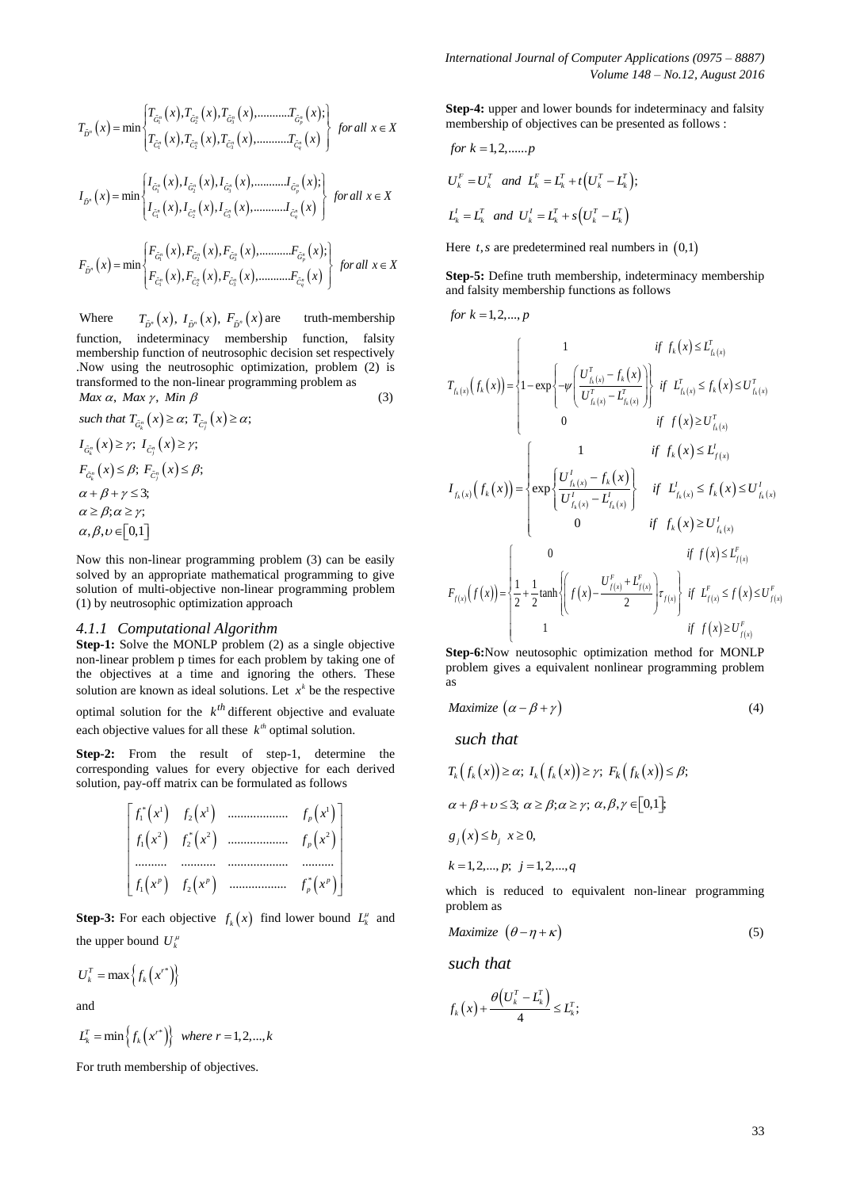$$
T_{\tilde{D}^n}\left(x\right) = \min\left\{\begin{aligned} & T_{\tilde{G}^n_1}\left(x\right), T_{\tilde{G}^n_2}\left(x\right), T_{\tilde{G}^n_3}\left(x\right), \dots, T_{\tilde{G}^n_p}\left(x\right); \\ & T_{\tilde{C}^n_1}\left(x\right), T_{\tilde{C}^n_2}\left(x\right), T_{\tilde{C}^n_3}\left(x\right), \dots, T_{\tilde{C}^n_q}\left(x\right)\right\} \quad for \ all \ \ x \in X \end{aligned}\right.
$$

$$
I_{\tilde{D}^{n}}(x) = \min \left\{ \begin{aligned} & I_{\tilde{G}_{1}^{n}}(x), I_{\tilde{G}_{2}^{n}}(x), I_{\tilde{G}_{3}^{n}}(x), \dots, I_{\tilde{G}_{p}^{n}}(x); \\ & I_{\tilde{C}_{1}^{n}}(x), I_{\tilde{C}_{2}^{n}}(x), I_{\tilde{C}_{3}^{n}}(x), \dots, I_{\tilde{C}_{q}^{n}}(x) \end{aligned} \right\} \text{ for all } x \in X
$$

$$
F_{\tilde{D}^{n}}(x) = \min \left\{ \begin{aligned} & F_{\tilde{G}_{1}^{n}}(x), F_{\tilde{G}_{2}^{n}}(x), F_{\tilde{G}_{3}^{n}}(x), \dots, F_{\tilde{G}_{p}^{n}}(x); \\ & F_{\tilde{C}_{1}^{n}}(x), F_{\tilde{C}_{2}^{n}}(x), F_{\tilde{C}_{3}^{n}}(x), \dots, F_{\tilde{C}_{q}^{n}}(x) \end{aligned} \right\} \text{ for all } x \in X
$$

Where  $T_{\tilde{D}^n}(x)$ ,  $I_{\tilde{D}^n}(x)$ ,  $F_{\tilde{D}^n}(x)$ truth-membership function, indeterminacy membership function, falsity membership function of neutrosophic decision set respectively .Now using the neutrosophic optimization, problem (2) is transformed to the non-linear programming problem as  $Max \alpha$ , *Max*  $\gamma$ , *Min*  $\beta$  (3)

such that 
$$
T_{\tilde{G}_k^n}(x) \ge \alpha
$$
;  $T_{\tilde{G}_l^n}(x) \ge \alpha$ ;  
\n $I_{\tilde{G}_k^n}(x) \ge \gamma$ ;  $I_{\tilde{G}_l^n}(x) \ge \gamma$ ;  
\n $F_{\tilde{G}_k^n}(x) \le \beta$ ;  $F_{\tilde{G}_l^n}(x) \le \beta$ ;  
\n $\alpha + \beta + \gamma \le 3$ ;  
\n $\alpha \ge \beta$ ;  $\alpha \ge \gamma$ ;  
\n $\alpha, \beta, \upsilon \in [0,1]$ 

Now this non-linear programming problem (3) can be easily solved by an appropriate mathematical programming to give solution of multi-objective non-linear programming problem (1) by neutrosophic optimization approach

## *4.1.1 Computational Algorithm*

**Step-1:** Solve the MONLP problem (2) as a single objective non-linear problem p times for each problem by taking one of the objectives at a time and ignoring the others. These solution are known as ideal solutions. Let  $x^k$  be the respective optimal solution for the  $k^{th}$  different objective and evaluate each objective values for all these  $k^{th}$  optimal solution.

**Step-2:** From the result of step-1, determine the corresponding values for every objective for each derived solution, pay-off matrix can be formulated as follows

$$
\begin{bmatrix} f_1^*(x^1) & f_2(x^1) & \dots & f_p(x^1) \\ f_1(x^2) & f_2^*(x^2) & \dots & f_p(x^2) \\ \dots & \dots & \dots & \dots & \dots & \dots \\ f_1(x^p) & f_2(x^p) & \dots & f_p^*(x^p) \end{bmatrix}
$$

**Step-3:** For each objective  $f_k(x)$  find lower bound  $L_k^{\mu}$  and the upper bound  $U_k^{\mu}$ 

$$
U_k^T = \max \left\{ f_k \left( x^{r^*} \right) \right\}
$$

and

$$
L_k^T = \min\left\{f_k\left(x^{r^*}\right)\right\} \text{ where } r = 1, 2, \dots, k
$$

For truth membership of objectives.

**Step-4:** upper and lower bounds for indeterminacy and falsity membership of objectives can be presented as follows :

for 
$$
k = 1, 2, \dots, p
$$
  
\n $U_k^F = U_k^T$  and  $L_k^F = L_k^T + t(U_k^T - L_k^T);$   
\n $L_k^I = L_k^T$  and  $U_k^I = L_k^T + s(U_k^T - L_k^T)$ 

Here  $t, s$  are predetermined real numbers in  $(0,1)$ 

**Step-5:** Define truth membership, indeterminacy membership and falsity membership functions as follows

$$
for\;k=\!1,\!2,\!...,p
$$

$$
(x) = \min \left[ r_{G_x}(x), r_{G_y}(x), r_{G_z}(x), \ldots, r_{G_z}(x) \right]
$$
\n
$$
(x) = \min \left\{ r_{G_y}(x), r_{G_y}(x), r_{G_z}(x), \ldots, r_{G_z}(x) \right\}
$$
\n
$$
(x) = \min \left\{ r_{G_y}(x), r_{G_y}(x), r_{G_z}(x), \ldots, r_{G_z}(x) \right\}
$$
\n
$$
(x) = \min \left\{ r_{G_y}(x), r_{G_y}(x), r_{G_y}(x), \ldots, r_{G_z}(x) \right\}
$$
\n
$$
(x) = \min \left\{ r_{G_y}(x), r_{G_y}(x), r_{G_y}(x), \ldots, r_{G_z}(x) \right\}
$$
\n
$$
(x) = \min \left\{ r_{G_y}(x), r_{G_y}(x), r_{G_y}(x), \ldots, r_{G_y}(x) \right\}
$$
\n
$$
(x) = \min \left\{ r_{G_y}(x), r_{G_y}(x), r_{G_y}(x), \ldots, r_{G_y}(x) \right\}
$$
\n
$$
(x) = \min \left\{ r_{G_y}(x), r_{G_y}(x), \ldots, r_{G_y}(x) \right\}
$$
\n
$$
(x) = \min \left\{ r_{G_y}(x), r_{G_y}(x), \ldots, r_{G_y}(x) \right\}
$$
\n
$$
(x) = \min \left\{ r_{G_y}(x), r_{G_y}(x), \ldots, r_{G_y}(x) \right\}
$$
\n
$$
(x) = \min \left\{ r_{G_y}(x), r_{G_y}(x), \ldots, r_{G_y}(x) \right\}
$$
\n
$$
(x) = \min \left\{ r_{G_y}(x), r_{G_y}(x), \ldots, r_{G_y}(x) \right\}
$$
\n
$$
(x) = \min \left\{ r_{G_y}(x), r_{G_y}(x), \ldots, r_{G_y}(x) \right\}
$$
\n
$$
(x) = \min \left\{ r_{G_y}(x), r_{G_y}(x), \ldots, r_{G_y}(x) \right\}
$$
\n
$$
(x) = \min \left\{ r_{G_y}(x), r_{G_y}(x), \ldots, r_{G_y}(x) \right\}
$$
\n
$$
(x) = \min \left
$$

**Step-6:**Now neutosophic optimization method for MONLP problem gives a equivalent nonlinear programming problem as

$$
Maximize \left(\alpha - \beta + \gamma\right) \tag{4}
$$

*such that*

$$
T_k(f_k(x)) \ge \alpha; \ I_k(f_k(x)) \ge \gamma; \ F_k(f_k(x)) \le \beta;
$$
  
\n
$$
\alpha + \beta + \upsilon \le 3; \ \alpha \ge \beta; \alpha \ge \gamma; \ \alpha, \beta, \gamma \in [0,1];
$$
  
\n
$$
g_j(x) \le b_j \ \ x \ge 0,
$$
  
\n
$$
k = 1, 2, ..., p; \ j = 1, 2, ..., q
$$
  
\nwhich is reduced to equivalent non-linear program

which is reduced to equivalent non-linear programming problem as

$$
Maximize \ (\theta - \eta + \kappa) \tag{5}
$$

*such that*

$$
f_k(x) + \frac{\theta\left(U_k^T - L_k^T\right)}{4} \le L_k^T;
$$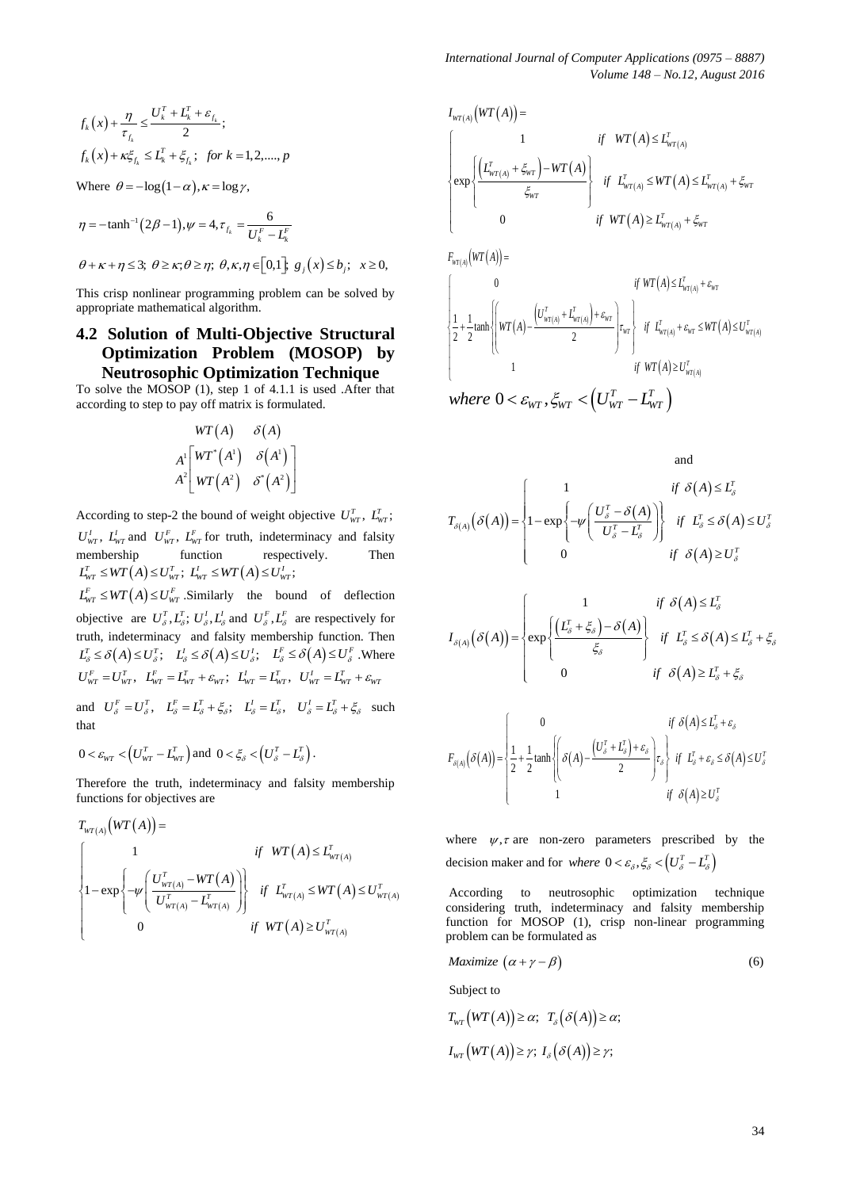$$
f_k(x) + \frac{\eta}{\tau_{f_k}} \le \frac{U_k^T + L_k^T + \varepsilon_{f_k}}{2};
$$
  

$$
f_k(x) + \kappa \xi_{f_k} \le L_k^T + \xi_{f_k}; \text{ for } k = 1, 2, \dots, p
$$

Where  $\theta = -\log(1 - \alpha)$ ,  $\kappa = \log \gamma$ ,

$$
\eta = -\tanh^{-1}(2\beta - 1), \psi = 4, \tau_{f_k} = \frac{6}{U_k^F - L_k^F}
$$
  

$$
\theta + \kappa + \eta \le 3; \ \theta \ge \kappa; \theta \ge \eta; \ \theta, \kappa, \eta \in [0, 1]; \ g_j(x) \le b_j; \ x \ge 0,
$$

This crisp nonlinear programming problem can be solved by appropriate mathematical algorithm.

# **4.2 Solution of Multi-Objective Structural Optimization Problem (MOSOP) by Neutrosophic Optimization Technique**

To solve the MOSOP (1), step 1 of 4.1.1 is used .After that according to step to pay off matrix is formulated.

$$
WT(A) \qquad \delta(A)
$$
  

$$
A^1 \begin{bmatrix} WT^*(A^1) & \delta(A^1) \\ AT^2 \end{bmatrix}
$$
  

$$
A^2 \begin{bmatrix} WT^*(A^2) & \delta^*(A^2) \end{bmatrix}
$$

According to step-2 the bound of weight objective  $U_{\text{WT}}^T$ ,  $\overline{L}_{\text{WT}}^T$ ;  $U_{WT}^I$ ,  $L_{WT}^I$  and  $U_{WT}^F$ ,  $L_{WT}^F$  for truth, indeterminacy and falsity membership function respectively. Then  $L_{WT}^T \leq WT(A) \leq U_{WT}^T$ ;  $L_{WT}^I \leq WT(A) \leq U_{WT}^I$ ;

 $L_{WT}^F \leq WT(A) \leq U_{WT}^F$ . Similarly the bound of deflection objective are  $U^T_{\delta}$ ,  $L^T_{\delta}$ ;  $U^I_{\delta}$ ,  $L^I_{\delta}$  and  $U^F_{\delta}$ ,  $L^F_{\delta}$  are respectively for truth, indeterminacy and falsity membership function. Then  $L_{\delta}^{T} \leq \delta(A) \leq U_{\delta}^{T}$ ;  $L_{\delta}^{I} \leq \delta(A) \leq U_{\delta}^{I}$ ;  $L_{\delta}^{F} \leq \delta(A) \leq U_{\delta}^{F}$ . Where  $U_{\text{WT}}^F = U_{\text{WT}}^T, \quad L_{\text{WT}}^F = L_{\text{WT}}^T + \varepsilon_{\text{WT}}^T; \quad L_{\text{WT}}^I = L_{\text{WT}}^T, \quad U_{\text{WT}}^I = L_{\text{WT}}^T + \varepsilon_{\text{WT}}^T$ and  $U_{\delta}^F = U_{\delta}^T$ ,  $L_{\delta}^F = L_{\delta}^T + \xi_{\delta}$ ;  $L_{\delta}^I = L_{\delta}^T$ ,  $U_{\delta}^I = L_{\delta}^T + \xi_{\delta}$  such that

$$
0 < \varepsilon_{\rm WT} < \left( U^T_{\rm WT} - L^T_{\rm WT} \right) \text{and } 0 < \xi_{\delta} < \left( U^T_{\delta} - L^T_{\delta} \right).
$$

Therefore the truth, indeterminacy and falsity membership

functions for objectives are  
\n
$$
T_{WT(A)}(WT(A)) =
$$
\n
$$
\begin{cases}\n1 & \text{if } WT(A) \le L_{WT(A)}^T \\
1 - \exp\left\{-\psi\left(\frac{U_{WT(A)}^T - WT(A)}{U_{WT(A)}^T - L_{WT(A)}^T}\right)\right\} & \text{if } L_{WT(A)}^T \le WT(A) \le U_{WT(A)}^T \\
0 & \text{if } WT(A) \ge U_{WT(A)}^T\n\end{cases}
$$

34 ; 1 exp 0 *WT A T WT A T WT A WT T T WT A WT A WT WT T WT A WT I WT A if WT A L L WT A if L WT A L if WT A L* 0 1 1 tanh 2 2 2 1 *WT A T WT A WT T T WT A WT A WT T T WT WT WT A WT A T WT A F WT A if WT A L U L WT A if L WT A U if WT A U* 0 , *T T where U L WT WT WT WT*

and  
\n
$$
T_{\delta(A)}(\delta(A)) = \begin{cases}\n1 & \text{if } \delta(A) \le L_{\delta}^T \\
1 - \exp\left\{-\psi\left(\frac{U_{\delta}^T - \delta(A)}{U_{\delta}^T - L_{\delta}^T}\right)\right\} & \text{if } L_{\delta}^T \le \delta(A) \le U_{\delta}^T \\
0 & \text{if } \delta(A) \ge U_{\delta}^T\n\end{cases}
$$

$$
I_{\delta(A)}(\delta(A)) = \begin{cases} 1 & \text{if } \delta(A) \le L_{\delta}^T \\ \exp\left\{ \frac{\left(L_{\delta}^T + \xi_{\delta}\right) - \delta(A)}{\xi_{\delta}} \right\} & \text{if } L_{\delta}^T \le \delta(A) \le L_{\delta}^T + \xi_{\delta} \\ 0 & \text{if } \delta(A) \ge L_{\delta}^T + \xi_{\delta} \end{cases}
$$

$$
F_{\delta(A)}(\delta(A)) = \begin{cases} 0 & \text{if } \delta(A) \le L_{\delta}^T + \varepsilon_{\delta} \\ \frac{1}{2} + \frac{1}{2} \tanh\left\{ \frac{\delta(A) - \frac{\left(U_{\delta}^T + U_{\delta}^T\right) + \varepsilon_{\delta}}{2} \right\} \tau_{\delta} & \text{if } L_{\delta}^T + \varepsilon_{\delta} \le \delta(A) \le U_{\delta}^T \\ 1 & \text{if } \delta(A) \ge U_{\delta}^T \end{cases}
$$

where  $\psi$ ,  $\tau$  are non-zero parameters prescribed by the decision maker and for *where*  $0 < \varepsilon_{\delta}, \xi_{\delta} < (U_{\delta}^T - L_{\delta}^T)$ 

According to neutrosophic optimization technique considering truth, indeterminacy and falsity membership function for MOSOP (1), crisp non-linear programming problem can be formulated as

$$
Maximize \left(\alpha + \gamma - \beta\right) \tag{6}
$$

Subject to

$$
T_{WT}\big(WT(A)\big) \geq \alpha; \ \ T_{\delta}\big(\delta(A)\big) \geq \alpha;
$$
  

$$
I_{WT}\big(WT(A)\big) \geq \gamma; \ I_{\delta}\big(\delta(A)\big) \geq \gamma;
$$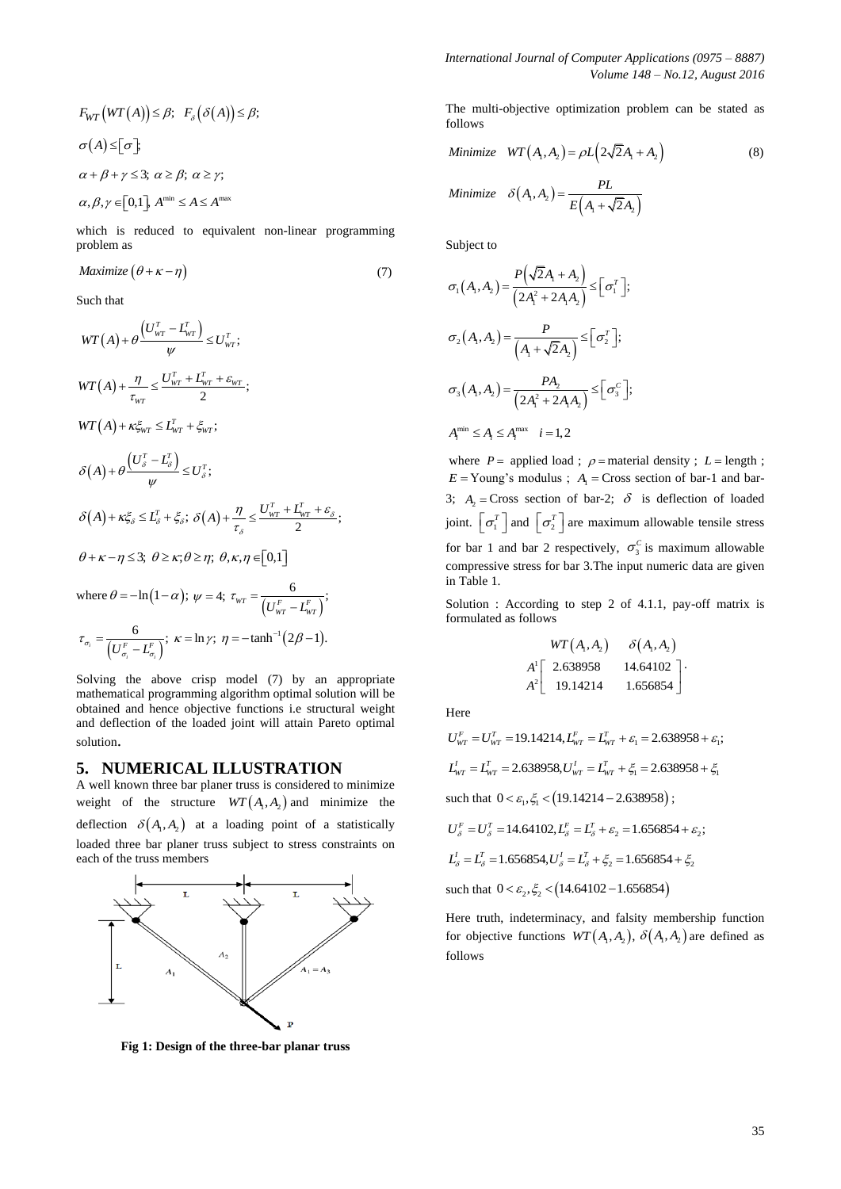$$
F_{WT}\big(WT(A)\big) \leq \beta; \quad F_{\delta}\big(\delta(A)\big) \leq \beta;
$$
  
\n
$$
\sigma(A) \leq [\sigma];
$$
  
\n
$$
\alpha + \beta + \gamma \leq 3; \ \alpha \geq \beta; \ \alpha \geq \gamma;
$$
  
\n
$$
\alpha, \beta, \gamma \in [0,1], \ A^{\min} \leq A \leq A^{\max}
$$

which is reduced to equivalent non-linear programming problem as

$$
Maximize (\theta + \kappa - \eta) \tag{7}
$$

Such that

$$
E_{\text{RF}}(\hat{W}(T(A)) \leq \beta; F_{\text{S}}(\delta(A)) \leq \beta;
$$
\nSubstitu-  
\n
$$
\sigma(A) \leq [\sigma] \sum_{\text{S}} \alpha
$$
\n
$$
\sigma(A) \leq [\sigma] \sum_{\text{S}} \alpha
$$
\n
$$
\sigma(A) \leq [\sigma] \sum_{\text{S}} \alpha
$$
\n
$$
\sigma(A) \cdot \sigma \leq [\sigma] \sum_{\text{S}} \alpha \cdot \beta, \alpha \geq \beta; \alpha \geq \gamma;
$$
\nSubstitu-  
\n
$$
\sigma(A) \cdot \alpha] = \frac{PL}{L(A + \sqrt{2}A_1)}
$$
\nSubstitu-  
\n
$$
\sigma(A, A_1) = \frac{PL}{L(A + \sqrt{2}A_1)}
$$
\nSubstitu-  
\n
$$
\sigma(A, A_2) = \frac{PL}{L(A + \sqrt{2}A_2)}
$$
\nSubstitu-  
\n
$$
\sigma(A, A_3) = \frac{PL}{L(A + \sqrt{2}A_3)} \leq [\sigma_1^2];
$$
\nSubstitu-  
\n
$$
\sigma(A, A_4) = \frac{PL}{L(A + \sqrt{2}A_4)} \leq [\sigma_1^2];
$$
\nWith  $\alpha$  is the closed to equivalent non-linear programming

\nSubject to

\n
$$
\sigma(A, A_1) = \frac{PL}{(2A^2 + 2A_4)} \leq [\sigma_1^2];
$$
\nWith  $\alpha$  is the same in the  $P = \text{ applied total}$  and

\n
$$
\sigma(A) \cdot \sigma(\beta) = \frac{PL}{\alpha + \sqrt{2}A_1} \times [\sigma_1^2];
$$
\n
$$
\sigma(A) \cdot \sigma(\beta) = \frac{PL}{\alpha} \cdot \frac{U_{\text{RF}} - L_{\text{RF}} - L_{\text{RF}} + \frac{L}{\alpha} \cdot \tau;
$$
\n
$$
\sigma(A) \cdot \sigma(\beta) = \frac{1}{\alpha} \cdot \sigma \cdot \beta; \alpha \wedge \gamma = \Gamma_0 \text{1})
$$
\nSubstitu- $\beta$  is the second for local  
\n $\delta(A) + \kappa \zeta_{\text{RF}} \leq$ 

$$
\tau_{\sigma_i} = \frac{6}{\left(U_{\sigma_i}^F - L_{\sigma_i}^F\right)}; \ \kappa = \ln \gamma; \ \eta = -\tanh^{-1}\left(2\beta - 1\right).
$$

Solving the above crisp model (7) by an appropriate mathematical programming algorithm optimal solution will be obtained and hence objective functions i.e structural weight and deflection of the loaded joint will attain Pareto optimal solution.

#### **5. NUMERICAL ILLUSTRATION**

A well known three bar planer truss is considered to minimize weight of the structure  $WT(A_1, A_2)$  and minimize the deflection  $\delta(A_1, A_2)$  at a loading point of a statistically loaded three bar planer truss subject to stress constraints on each of the truss members



**Fig 1: Design of the three-bar planar truss**

The multi-objective optimization problem can be stated as follows

Minimize 
$$
WT(A_1, A_2) = \rho L(2\sqrt{2}A_1 + A_2)
$$
 (8)  
\nMinimize  $\delta(A_1, A_2) = \frac{PL}{E(A_1 + \sqrt{2}A_2)}$ 

Subject to

$$
\sigma_1(A_1, A_2) = \frac{P(\sqrt{2}A_1 + A_2)}{(2A_1^2 + 2A_1A_2)} \leq [\sigma_1^T];
$$
  

$$
\sigma_2(A_1, A_2) = \frac{P}{(A_1 + \sqrt{2}A_2)} \leq [\sigma_2^T];
$$
  

$$
\sigma_3(A_1, A_2) = \frac{PA_2}{(2A_1^2 + 2A_1A_2)} \leq [\sigma_3^C];
$$
  

$$
A_i^{\min} \leq A_i \leq A_i^{\max} \quad i = 1, 2
$$

where  $P =$  applied load;  $\rho =$  material density;  $L =$  length;  $E = \text{Young's modulus}$ ;  $A_1 = \text{Cross section of bar-1}$  and bar-3;  $A_2$  = Cross section of bar-2;  $\delta$  is deflection of loaded joint.  $\lfloor \sigma_1^T \rfloor$  and  $\lfloor \sigma_2^T \rfloor$  are maximum allowable tensile stress for bar 1 and bar 2 respectively,  $\sigma_3^C$  is maximum allowable compressive stress for bar 3.The input numeric data are given in Table 1.

Solution : According to step 2 of 4.1.1, pay-off matrix is formulated as follows

$$
WT(A_1, A_2) \qquad \delta(A_1, A_2)
$$
  

$$
A^1 \begin{bmatrix} 2.638958 & 14.64102 \\ 19.14214 & 1.656854 \end{bmatrix}.
$$

Here

Here  
\n
$$
U_{WT}^F = U_{WT}^T = 19.14214, L_{WT}^F = L_{WT}^T + \varepsilon_1 = 2.638958 + \varepsilon_1;
$$
\n
$$
L_{WT}^I = L_{WT}^T = 2.638958, U_{WT}^I = L_{WT}^T + \xi_1 = 2.638958 + \xi_1
$$
\nsuch that  $0 < \varepsilon_1, \xi_1 < (19.14214 - 2.638958)$ ;  
\n
$$
U_{S}^F = U_{S}^T = 14.64102, L_{S}^F = L_{S}^T + \varepsilon_2 = 1.656854 + \varepsilon_2;
$$

$$
U_{\delta}^{F} = U_{\delta}^{T} = 14.64102, L_{\delta}^{F} = L_{\delta}^{T} + \varepsilon_{2} = 1.656854 + \varepsilon_{2};
$$

$$
L_s^I = L_s^T = 1.656854, U_s^I = L_s^T + \xi_2 = 1.656854 + \xi_2
$$

such that  $0 < \varepsilon_2, \xi_2 < (14.64102 - 1.656854)$ 

Here truth, indeterminacy, and falsity membership function for objective functions  $WT(A_1, A_2)$ ,  $\delta(A_1, A_2)$  are defined as follows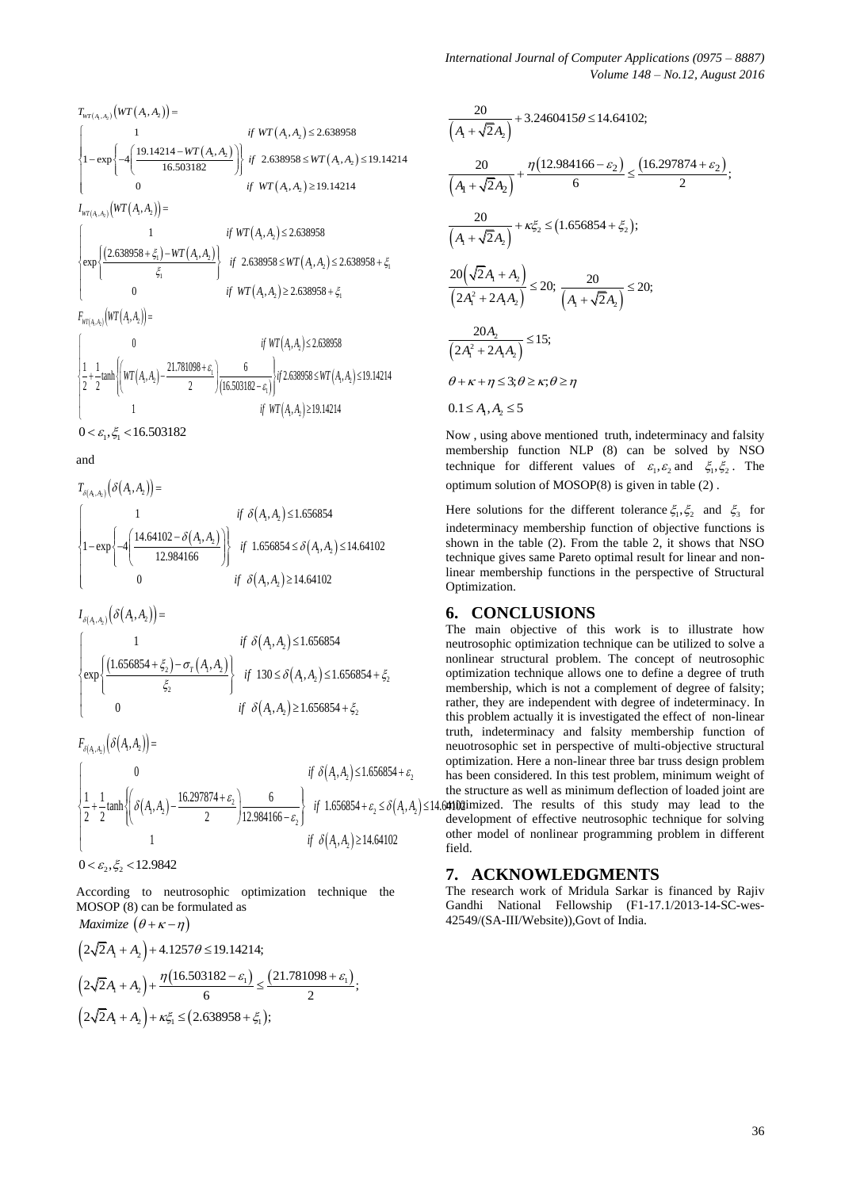$$
T_{WT(A_{1},A_{2})}(WT(A_{1},A_{2})) =
$$
\n
$$
\begin{cases}\n1 & \text{if } WT(A_{1},A_{2}) \le 2.638958 \\
1 - \exp\left\{-4\left(\frac{19.14214 - WT(A_{1},A_{2})}{16.503182}\right)\right\} & \text{if } 2.638958 \le WT(A_{1},A_{2}) \le 19.14214 \\
0 & \text{if } WT(A_{1},A_{2}) \ge 19.14214\n\end{cases}
$$
\n
$$
I_{WT(A_{1},A_{2})}(WT(A_{1},A_{2})) =
$$
\n
$$
\begin{cases}\n1 & \text{if } WT(A_{1},A_{2}) \le 2.638958 \\
\exp\left\{\frac{(2.638958 + \xi_{1}) - WT(A_{1},A_{2})}{\xi_{1}}\right\} & \text{if } 2.638958 \le WT(A_{1},A_{2}) \le 2.638958 + \xi_{1}\n\end{cases}
$$
\n
$$
F_{WT(A_{1},A_{2})}(WT(A_{1},A_{2})) =
$$
\n
$$
\begin{cases}\n0 & \text{if } WT(A_{1},A_{2}) \ge 2.638958 + \xi_{1}\n\end{cases}
$$
\n
$$
I_{WT(A_{1},A_{2})}(WT(A_{1},A_{2})) =
$$
\n
$$
\begin{cases}\n0 & \text{if } WT(A_{1},A_{2}) \le 2.638958 \\
\frac{1}{2} + \frac{1}{2} \tanh\left(\frac{WT(A_{1},A_{2}) - \frac{21.781098 + \xi_{1}}{2}\right)}{2} & \text{if } 2.633058 \le WT(A_{1},A_{2}) \le 19.14214 \\
1 & \text{if } WT(A_{1},A_{2}) \ge 19.14214\n\end{cases}
$$

$$
0 < \varepsilon_{\rm i}, \xi_{\rm i} < 16.503182
$$

and

and  $T_{\delta(A_1, A_2)}(\delta(A_1, A_2)) =$  $(A_1, A_2)$  $\left\{\frac{(A_1, A_2)}{(A_1, A_2)}\right\}$  if 1.656854  $\leq \delta(A_1, A_2)$  $(A_1, A_2)$  $, A_2$  $\left\{\phi_1, A_2\right\}$  if  $1.656854 \leq \delta(A_1, A_2)$  $, A_2$  $(A_2)$ ] = <br>
1 if  $\delta(A_1, A_2) \le 1.656854$ 1 if  $\delta(A, A_2) \le 1.656854$ <br>
1-exp  $\left\{-4\left(\frac{14.64102 - \delta(A_1, A_2)}{12.984166}\right)\right\}$  if  $1.656854 \le \delta(A_1, A_2) \le 14.64102$ <br>
if  $\delta(A_1, A_2) \ge 14.64102$ *if*  $\delta(A_1, A_2)$ *if*  $\delta(A_1, A_2) \le 1.656854$ <br> *A*<sub>1</sub>, *A*<sub>2</sub>)<br> *if*  $1.656854 \le \delta(A_1, A_2)$ *if*  $\delta(A_1, A_2)$ δ  $\left\{\frac{\delta(A_1,A_2)}{i} \right\}$  if 1.656854  $\leq \delta$ δ  $\left| \begin{array}{cc} 1 & \text{if } \delta(A_1,A_2) \leq \end{array} \right|$  $\begin{bmatrix} 1 & if \ \delta(A) \\ 1 - \exp \{-4 \Big( \frac{14.64102 - \delta(A_1, A_2)}{1} \Big) \Big) & if \ 1.6 \end{bmatrix}$  $\left\{\n1-\exp\left\{\n-\frac{4\left(\frac{14.64102 - \delta(A_1, A_2)}{12.984166}\right)\right\}\n\right\}\n\quad \text{if } 1.656854 \leq \delta(A_1, A_2) \leq 14.64103\n\quad \text{if } 1.656854 \leq \delta(A_1, A_2) \leq 14.64103\n\right\}$  $\bigcup$  0 if  $\delta(A_1, A_2) \ge$ 

 $I_{\delta(A_1,A_2)}(\delta\big(A_1,A_2\big)\big)=$ 

$$
I_{\delta(A_1, A_2)}(O(A_1, A_2)) =
$$
\n
$$
\begin{cases}\n1 & \text{if } \delta(A_1, A_2) \le 1.656854 \\
\exp\left\{\frac{(1.656854 + \xi_2) - \sigma_r(A_1, A_2)}{\xi_2}\right\} & \text{if } 130 \le \delta(A_1, A_2) \le 1.656854 + \xi_2 \\
0 & \text{if } \delta(A_1, A_2) \ge 1.656854 + \xi_2\n\end{cases}
$$

 $F_{\delta(A_1, A_2)} (\delta(A_1, A_2)) =$ 

$$
F_{\delta(A_1, A_2)}(\delta(A_1, A_2)) = \begin{cases}\n0 & \text{if } \delta(A_1, A_2) \le 1.656854 + \varepsilon_2 \\
\frac{1}{2} + \frac{1}{2} \tanh\left(\frac{\delta(A_1, A_2) - \frac{16.297874 + \varepsilon_2}{2}}{2}\right) \frac{6}{12.984166 - \varepsilon_2}\n\end{cases}
$$
\nif  $1.656854 + \varepsilon_2 \le \delta(A_1, A_2) \le 14.64102$  the set  
\ndecel  
\n
$$
0 < \varepsilon_2, \xi_2 < 12.9842
$$

According to neutrosophic optimization technique the MOSOP (8) can be formulated as *Maximize*  $(A + \kappa - n)$ 

$$
(2\sqrt{2}A_1 + A_2) + 4.1257\theta \le 19.14214;
$$
  
\n
$$
(2\sqrt{2}A_1 + A_2) + \frac{\eta(16.503182 - \varepsilon_1)}{6} \le \frac{(21.781098 + \varepsilon_1)}{2};
$$
  
\n
$$
(2\sqrt{2}A_1 + A_2) + \kappa \xi_1 \le (2.638958 + \xi_1);
$$

$$
\frac{20}{\left(A_{1} + \sqrt{2}A_{2}\right)} + 3.2460415\theta \le 14.64102;
$$
\n
$$
\frac{20}{\left(A_{1} + \sqrt{2}A_{2}\right)} + \frac{\eta(12.984166 - \varepsilon_{2})}{6} \le \frac{(16.297874 + \varepsilon_{2})}{2};
$$
\n
$$
\frac{20}{\left(A_{1} + \sqrt{2}A_{2}\right)} + \kappa\xi_{2} \le (1.656854 + \xi_{2});
$$
\n
$$
\frac{20\left(\sqrt{2}A_{1} + A_{2}\right)}{\left(2A_{1}^{2} + 2A_{1}A_{2}\right)} \le 20;
$$
\n
$$
\frac{20A_{2}}{\left(2A_{1}^{2} + 2A_{1}A_{2}\right)} \le 15;
$$
\n
$$
\theta + \kappa + \eta \le 3; \theta \ge \kappa; \theta \ge \eta
$$
\n
$$
0.1 \le A_{1}, A_{2} \le 5
$$

Now , using above mentioned truth, indeterminacy and falsity membership function NLP (8) can be solved by NSO technique for different values of  $\varepsilon_1, \varepsilon_2$  and  $\xi_1, \xi_2$ . The optimum solution of MOSOP(8) is given in table (2) .

Here solutions for the different tolerance  $\xi_1, \xi_2$  and  $\xi_3$  for indeterminacy membership function of objective functions is shown in the table (2). From the table 2, it shows that NSO technique gives same Pareto optimal result for linear and nonlinear membership functions in the perspective of Structural Optimization.

# **6. CONCLUSIONS**

The main objective of this work is to illustrate how neutrosophic optimization technique can be utilized to solve a nonlinear structural problem. The concept of neutrosophic optimization technique allows one to define a degree of truth membership, which is not a complement of degree of falsity; rather, they are independent with degree of indeterminacy. In this problem actually it is investigated the effect of non-linear truth, indeterminacy and falsity membership function of neuotrosophic set in perspective of multi-objective structural optimization. Here a non-linear three bar truss design problem has been considered. In this test problem, minimum weight of the structure as well as minimum deflection of loaded joint are  $\leq 14.64102$  imized. The results of this study may lead to the

development of effective neutrosophic technique for solving other model of nonlinear programming problem in different field.

# **7. ACKNOWLEDGMENTS**

The research work of Mridula Sarkar is financed by Rajiv Gandhi National Fellowship (F1-17.1/2013-14-SC-wes-42549/(SA-III/Website)),Govt of India.